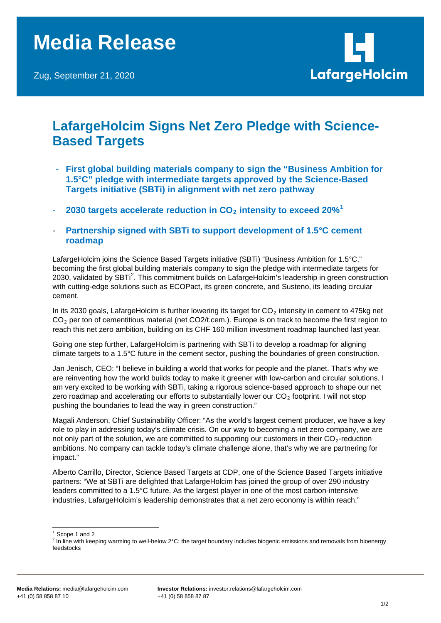

## **LafargeHolcim Signs Net Zero Pledge with Science-Based Targets**

- **First global building materials company to sign the "Business Ambition for 1.5°C" pledge with intermediate targets approved by the Science-Based Targets initiative (SBTi) in alignment with net zero pathway**
- 2030 targets accelerate reduction in CO<sub>2</sub> intensity to exceed 20%<sup>[1](#page-0-0)</sup>
- **Partnership signed with SBTi to support development of 1.5°C cement roadmap**

LafargeHolcim joins the Science Based Targets initiative (SBTi) "Business Ambition for 1.5°C," becoming the first global building materials company to sign the pledge with intermediate targets for [2](#page-0-1)030, validated by SBTi<sup>2</sup>. This commitment builds on LafargeHolcim's leadership in green construction with cutting-edge solutions such as ECOPact, its green concrete, and Susteno, its leading circular cement.

In its 2030 goals, LafargeHolcim is further lowering its target for  $CO<sub>2</sub>$  intensity in cement to 475kg net  $CO<sub>2</sub>$  per ton of cementitious material (net CO2/t.cem.). Europe is on track to become the first region to reach this net zero ambition, building on its CHF 160 million investment roadmap launched last year.

Going one step further, LafargeHolcim is partnering with SBTi to develop a roadmap for aligning climate targets to a 1.5°C future in the cement sector, pushing the boundaries of green construction.

Jan Jenisch, CEO: "I believe in building a world that works for people and the planet. That's why we are reinventing how the world builds today to make it greener with low-carbon and circular solutions. I am very excited to be working with SBTi, taking a rigorous science-based approach to shape our net zero roadmap and accelerating our efforts to substantially lower our  $CO<sub>2</sub>$  footprint. I will not stop pushing the boundaries to lead the way in green construction."

Magali Anderson, Chief Sustainability Officer: "As the world's largest cement producer, we have a key role to play in addressing today's climate crisis. On our way to becoming a net zero company, we are not only part of the solution, we are committed to supporting our customers in their  $CO<sub>2</sub>$ -reduction ambitions. No company can tackle today's climate challenge alone, that's why we are partnering for impact."

Alberto Carrillo, Director, Science Based Targets at CDP, one of the Science Based Targets initiative partners: "We at SBTi are delighted that LafargeHolcim has joined the group of over 290 industry leaders committed to a 1.5°C future. As the largest player in one of the most carbon-intensive industries, LafargeHolcim's leadership demonstrates that a net zero economy is within reach."

<span id="page-0-1"></span><span id="page-0-0"></span><sup>&</sup>lt;sup>1</sup> Scope 1 and 2<br><sup>2</sup> In line with keeping warming to well-below 2°C; the target boundary includes biogenic emissions and removals from bioenergy feedstocks